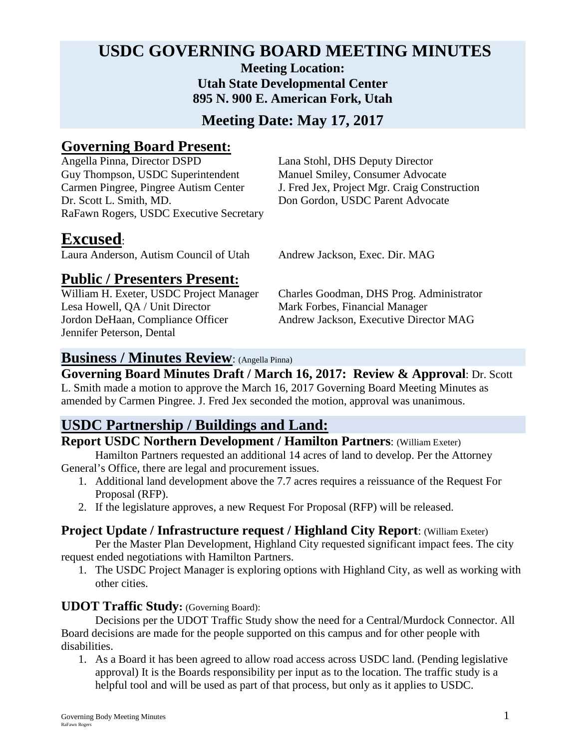### **USDC GOVERNING BOARD MEETING MINUTES Meeting Location: Utah State Developmental Center**

**895 N. 900 E. American Fork, Utah**

**Meeting Date: May 17, 2017**

## **Governing Board Present:**<br>Angella Pinna, Director DSPD

Guy Thompson, USDC Superintendent Manuel Smiley, Consumer Advocate<br>Carmen Pingree, Pingree Autism Center J. Fred Jex, Project Mgr. Craig Const Dr. Scott L. Smith, MD. Don Gordon, USDC Parent Advocate RaFawn Rogers, USDC Executive Secretary

Lana Stohl, DHS Deputy Director J. Fred Jex, Project Mgr. Craig Construction

## **Excused**:

Laura Anderson, Autism Council of Utah Andrew Jackson, Exec. Dir. MAG

# **Public / Presenters Present:**

Lesa Howell, QA / Unit Director Mark Forbes, Financial Manager Jennifer Peterson, Dental

Charles Goodman, DHS Prog. Administrator Jordon DeHaan, Compliance Officer Andrew Jackson, Executive Director MAG

#### **Business / Minutes Review**: (Angella Pinna)

## **Governing Board Minutes Draft / March 16, 2017: Review & Approval**: Dr. Scott

L. Smith made a motion to approve the March 16, 2017 Governing Board Meeting Minutes as amended by Carmen Pingree. J. Fred Jex seconded the motion, approval was unanimous.

## **USDC Partnership / Buildings and Land:**

## **Report USDC Northern Development / Hamilton Partners**: (William Exeter)

Hamilton Partners requested an additional 14 acres of land to develop. Per the Attorney General's Office, there are legal and procurement issues.

- 1. Additional land development above the 7.7 acres requires a reissuance of the Request For Proposal (RFP).
- 2. If the legislature approves, a new Request For Proposal (RFP) will be released.

#### **Project Update / Infrastructure request / Highland City Report**: (William Exeter)

Per the Master Plan Development, Highland City requested significant impact fees. The city request ended negotiations with Hamilton Partners.

1. The USDC Project Manager is exploring options with Highland City, as well as working with other cities.

#### **UDOT Traffic Study:** (Governing Board):

Decisions per the UDOT Traffic Study show the need for a Central/Murdock Connector. All Board decisions are made for the people supported on this campus and for other people with disabilities.

1. As a Board it has been agreed to allow road access across USDC land. (Pending legislative approval) It is the Boards responsibility per input as to the location. The traffic study is a helpful tool and will be used as part of that process, but only as it applies to USDC.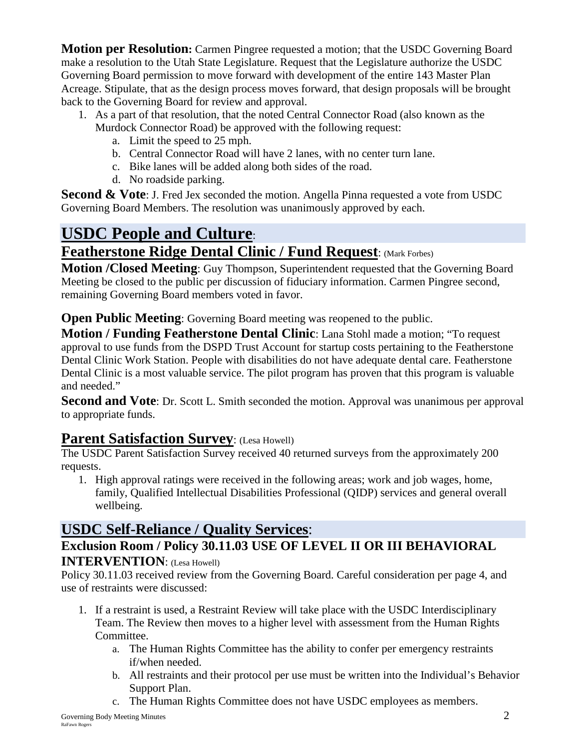**Motion per Resolution:** Carmen Pingree requested a motion; that the USDC Governing Board make a resolution to the Utah State Legislature. Request that the Legislature authorize the USDC Governing Board permission to move forward with development of the entire 143 Master Plan Acreage. Stipulate, that as the design process moves forward, that design proposals will be brought back to the Governing Board for review and approval.

- 1. As a part of that resolution, that the noted Central Connector Road (also known as the Murdock Connector Road) be approved with the following request:
	- a. Limit the speed to 25 mph.
	- b. Central Connector Road will have 2 lanes, with no center turn lane.
	- c. Bike lanes will be added along both sides of the road.
	- d. No roadside parking.

**Second & Vote**: J. Fred Jex seconded the motion. Angella Pinna requested a vote from USDC Governing Board Members. The resolution was unanimously approved by each.

## **USDC People and Culture**:

## **Featherstone Ridge Dental Clinic / Fund Request**: (Mark Forbes)

**Motion / Closed Meeting**: Guy Thompson, Superintendent requested that the Governing Board Meeting be closed to the public per discussion of fiduciary information. Carmen Pingree second, remaining Governing Board members voted in favor.

**Open Public Meeting**: Governing Board meeting was reopened to the public.

**Motion / Funding Featherstone Dental Clinic**: Lana Stohl made a motion; "To request approval to use funds from the DSPD Trust Account for startup costs pertaining to the Featherstone Dental Clinic Work Station. People with disabilities do not have adequate dental care. Featherstone Dental Clinic is a most valuable service. The pilot program has proven that this program is valuable and needed."

**Second and Vote**: Dr. Scott L. Smith seconded the motion. Approval was unanimous per approval to appropriate funds.

## **Parent Satisfaction Survey: (Lesa Howell)**

The USDC Parent Satisfaction Survey received 40 returned surveys from the approximately 200 requests.

1. High approval ratings were received in the following areas; work and job wages, home, family, Qualified Intellectual Disabilities Professional (QIDP) services and general overall wellbeing.

## **USDC Self-Reliance / Quality Services**:

### **Exclusion Room / Policy 30.11.03 USE OF LEVEL II OR III BEHAVIORAL INTERVENTION**: (Lesa Howell)

Policy 30.11.03 received review from the Governing Board. Careful consideration per page 4, and use of restraints were discussed:

- 1. If a restraint is used, a Restraint Review will take place with the USDC Interdisciplinary Team. The Review then moves to a higher level with assessment from the Human Rights Committee.
	- a. The Human Rights Committee has the ability to confer per emergency restraints if/when needed.
	- b. All restraints and their protocol per use must be written into the Individual's Behavior Support Plan.
	- c. The Human Rights Committee does not have USDC employees as members.